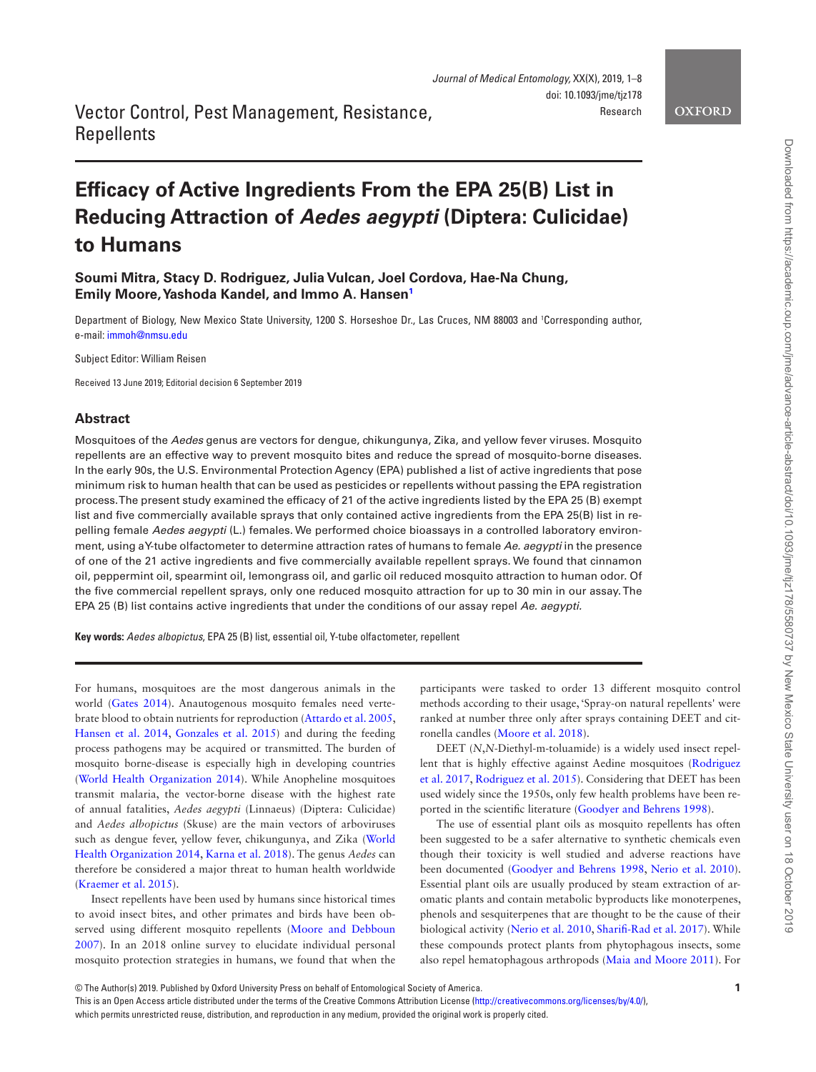## **OXFORD**

## Vector Control, Pest Management, Resistance, **Repellents**

# **Efficacy of Active Ingredients From the EPA 25(B) List in Reducing Attraction of** *Aedes aegypti* **(Diptera: Culicidae) to Humans**

**Soumi Mitra, Stacy D. Rodriguez, Julia Vulcan, Joel Cordova, Hae-Na Chung, Emily Moore, Yashoda Kandel, and Immo A. Hanse[n1](#page-0-0)**

<span id="page-0-0"></span>Department of Biology, New Mexico State University, 1200 S. Horseshoe Dr., Las Cruces, NM 88003 and <sup>1</sup> Corresponding author, e-mail: [immoh@nmsu.edu](mailto:immoh@nmsu.edu?subject=)

Subject Editor: William Reisen

Received 13 June 2019; Editorial decision 6 September 2019

## **Abstract**

Mosquitoes of the *Aedes* genus are vectors for dengue, chikungunya, Zika, and yellow fever viruses. Mosquito repellents are an effective way to prevent mosquito bites and reduce the spread of mosquito-borne diseases. In the early 90s, the U.S. Environmental Protection Agency (EPA) published a list of active ingredients that pose minimum risk to human health that can be used as pesticides or repellents without passing the EPA registration process. The present study examined the efficacy of 21 of the active ingredients listed by the EPA 25 (B) exempt list and five commercially available sprays that only contained active ingredients from the EPA 25(B) list in repelling female *Aedes aegypti* (L.) females. We performed choice bioassays in a controlled laboratory environment, using a Y-tube olfactometer to determine attraction rates of humans to female *Ae. aegypti* in the presence of one of the 21 active ingredients and five commercially available repellent sprays. We found that cinnamon oil, peppermint oil, spearmint oil, lemongrass oil, and garlic oil reduced mosquito attraction to human odor. Of the five commercial repellent sprays, only one reduced mosquito attraction for up to 30 min in our assay. The EPA 25 (B) list contains active ingredients that under the conditions of our assay repel *Ae. aegypti.*

**Key words:** *Aedes albopictus*, EPA 25 (B) list, essential oil, Y-tube olfactometer, repellent

For humans, mosquitoes are the most dangerous animals in the world [\(Gates 2014](#page-7-0)). Anautogenous mosquito females need vertebrate blood to obtain nutrients for reproduction [\(Attardo et al. 2005,](#page-6-0) [Hansen et al. 2014,](#page-7-1) [Gonzales et al. 2015\)](#page-7-2) and during the feeding process pathogens may be acquired or transmitted. The burden of mosquito borne-disease is especially high in developing countries [\(World Health Organization 2014\)](#page-7-3). While Anopheline mosquitoes transmit malaria, the vector-borne disease with the highest rate of annual fatalities, *Aedes aegypti* (Linnaeus) (Diptera: Culicidae) and *Aedes albopictus* (Skuse) are the main vectors of arboviruses such as dengue fever, yellow fever, chikungunya, and Zika [\(World](#page-7-3)  [Health Organization 2014](#page-7-3), [Karna et al. 2018](#page-7-4)). The genus *Aedes* can therefore be considered a major threat to human health worldwide [\(Kraemer et al. 2015\)](#page-7-5).

Insect repellents have been used by humans since historical times to avoid insect bites, and other primates and birds have been observed using different mosquito repellents [\(Moore and Debboun](#page-7-6)  [2007](#page-7-6)). In an 2018 online survey to elucidate individual personal mosquito protection strategies in humans, we found that when the

participants were tasked to order 13 different mosquito control methods according to their usage, 'Spray-on natural repellents' were ranked at number three only after sprays containing DEET and citronella candles [\(Moore et al. 2018](#page-7-7)).

DEET (*N*,*N*-Diethyl-m-toluamide) is a widely used insect repellent that is highly effective against Aedine mosquitoes [\(Rodriguez](#page-7-8)  [et al. 2017](#page-7-8), [Rodriguez et al. 2015](#page-7-9)). Considering that DEET has been used widely since the 1950s, only few health problems have been reported in the scientific literature ([Goodyer and Behrens 1998](#page-7-10)).

The use of essential plant oils as mosquito repellents has often been suggested to be a safer alternative to synthetic chemicals even though their toxicity is well studied and adverse reactions have been documented [\(Goodyer and Behrens 1998](#page-7-10), [Nerio et al. 2010](#page-7-11)). Essential plant oils are usually produced by steam extraction of aromatic plants and contain metabolic byproducts like monoterpenes, phenols and sesquiterpenes that are thought to be the cause of their biological activity ([Nerio et al. 2010,](#page-7-11) [Sharifi-Rad et al. 2017\)](#page-7-12). While these compounds protect plants from phytophagous insects, some also repel hematophagous arthropods [\(Maia and Moore 2011\)](#page-7-13). For

This is an Open Access article distributed under the terms of the Creative Commons Attribution License (<http://creativecommons.org/licenses/by/4.0/>), which permits unrestricted reuse, distribution, and reproduction in any medium, provided the original work is properly cited.



Downloaded from https://academic.oup.com/jme/advance-article-abstract/doi/10.1093/jme/tjz178/5580737 by New Mexico State University user on 18 October 2019 Downloaded from https://academic.oup.com/jme/advance-article-abstract/doi/10.1093/jme/tjz178/5580737 by New Mexico State University user on 18 October 2019

<sup>©</sup> The Author(s) 2019. Published by Oxford University Press on behalf of Entomological Society of America.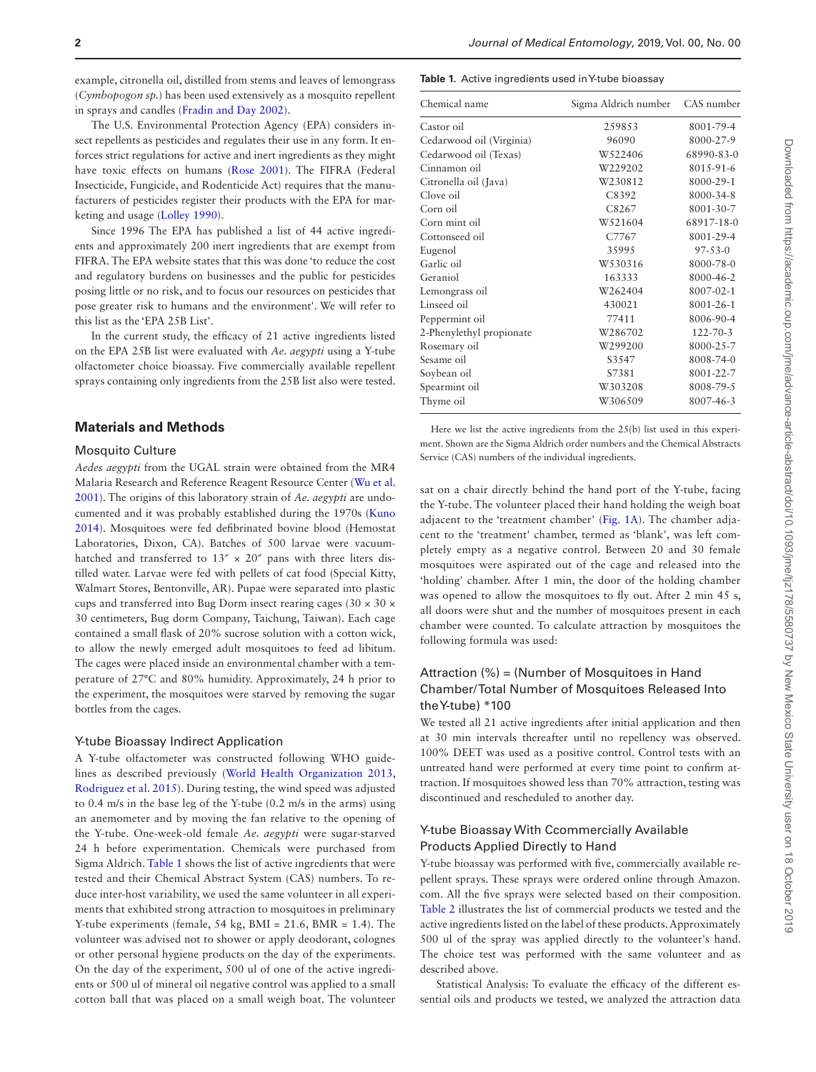example, citronella oil, distilled from stems and leaves of lemongrass (*Cymbopogon sp.*) has been used extensively as a mosquito repellent in sprays and candles ([Fradin and Day 2002](#page-7-14)).

The U.S. Environmental Protection Agency (EPA) considers insect repellents as pesticides and regulates their use in any form. It enforces strict regulations for active and inert ingredients as they might have toxic effects on humans ([Rose 2001\)](#page-7-15). The FIFRA (Federal Insecticide, Fungicide, and Rodenticide Act) requires that the manufacturers of pesticides register their products with the EPA for marketing and usage [\(Lolley 1990\)](#page-7-16).

Since 1996 The EPA has published a list of 44 active ingredients and approximately 200 inert ingredients that are exempt from FIFRA. The EPA website states that this was done 'to reduce the cost and regulatory burdens on businesses and the public for pesticides posing little or no risk, and to focus our resources on pesticides that pose greater risk to humans and the environment'. We will refer to this list as the 'EPA 25B List'.

In the current study, the efficacy of 21 active ingredients listed on the EPA 25B list were evaluated with *Ae. aegypti* using a Y-tube olfactometer choice bioassay. Five commercially available repellent sprays containing only ingredients from the 25B list also were tested.

## **Materials and Methods**

#### Mosquito Culture

*Aedes aegypti* from the UGAL strain were obtained from the MR4 Malaria Research and Reference Reagent Resource Center [\(Wu et al.](#page-7-17)  [2001](#page-7-17)). The origins of this laboratory strain of *Ae. aegypti* are undocumented and it was probably established during the 1970s ([Kuno](#page-7-18)  [2014](#page-7-18)). Mosquitoes were fed defibrinated bovine blood (Hemostat Laboratories, Dixon, CA). Batches of 500 larvae were vacuumhatched and transferred to  $13'' \times 20''$  pans with three liters distilled water. Larvae were fed with pellets of cat food (Special Kitty, Walmart Stores, Bentonville, AR). Pupae were separated into plastic cups and transferred into Bug Dorm insect rearing cages (30 × 30 × 30 centimeters, Bug dorm Company, Taichung, Taiwan). Each cage contained a small flask of 20% sucrose solution with a cotton wick, to allow the newly emerged adult mosquitoes to feed ad libitum. The cages were placed inside an environmental chamber with a temperature of 27°C and 80% humidity. Approximately, 24 h prior to the experiment, the mosquitoes were starved by removing the sugar bottles from the cages.

#### Y-tube Bioassay Indirect Application

A Y-tube olfactometer was constructed following WHO guidelines as described previously ([World Health Organization 2013,](#page-7-19) [Rodriguez et al. 2015](#page-7-9)). During testing, the wind speed was adjusted to 0.4 m/s in the base leg of the Y-tube (0.2 m/s in the arms) using an anemometer and by moving the fan relative to the opening of the Y-tube. One-week-old female *Ae. aegypti* were sugar-starved 24 h before experimentation. Chemicals were purchased from Sigma Aldrich. [Table 1](#page-1-0) shows the list of active ingredients that were tested and their Chemical Abstract System (CAS) numbers. To reduce inter-host variability, we used the same volunteer in all experiments that exhibited strong attraction to mosquitoes in preliminary Y-tube experiments (female, 54 kg, BMI = 21.6, BMR = 1.4). The volunteer was advised not to shower or apply deodorant, colognes or other personal hygiene products on the day of the experiments. On the day of the experiment, 500 ul of one of the active ingredients or 500 ul of mineral oil negative control was applied to a small cotton ball that was placed on a small weigh boat. The volunteer

#### <span id="page-1-0"></span>**Table 1.** Active ingredients used in Y-tube bioassay

| Chemical name            | Sigma Aldrich number | CAS number     |  |
|--------------------------|----------------------|----------------|--|
| Castor oil               | 259853               | 8001-79-4      |  |
| Cedarwood oil (Virginia) | 96090                | 8000-27-9      |  |
| Cedarwood oil (Texas)    | W522406              | 68990-83-0     |  |
| Cinnamon oil             | W229202              | 8015-91-6      |  |
| Citronella oil (Java)    | W230812              | 8000-29-1      |  |
| Clove oil                | C8392                | 8000-34-8      |  |
| Corn oil                 | C8267                | 8001-30-7      |  |
| Corn mint oil            | W521604              | 68917-18-0     |  |
| Cottonseed oil           | C7767                | 8001-29-4      |  |
| Eugenol                  | 35995                | $97 - 53 - 0$  |  |
| Garlic oil               | W530316              | 8000-78-0      |  |
| Geraniol                 | 163333               | 8000-46-2      |  |
| Lemongrass oil           | W262404              | 8007-02-1      |  |
| Linseed oil              | 430021               | 8001-26-1      |  |
| Peppermint oil           | 77411                | 8006-90-4      |  |
| 2-Phenylethyl propionate | W286702              | $122 - 70 - 3$ |  |
| Rosemary oil             | W299200              | 8000-25-7      |  |
| Sesame oil               | S3547                | 8008-74-0      |  |
| Soybean oil              | S7381                | 8001-22-7      |  |
| Spearmint oil            | W303208              | 8008-79-5      |  |
| Thyme oil                | W306509              | 8007-46-3      |  |

Here we list the active ingredients from the 25(b) list used in this experiment. Shown are the Sigma Aldrich order numbers and the Chemical Abstracts Service (CAS) numbers of the individual ingredients.

sat on a chair directly behind the hand port of the Y-tube, facing the Y-tube. The volunteer placed their hand holding the weigh boat adjacent to the 'treatment chamber' ([Fig. 1A](#page-2-0)). The chamber adjacent to the 'treatment' chamber, termed as 'blank', was left completely empty as a negative control. Between 20 and 30 female mosquitoes were aspirated out of the cage and released into the 'holding' chamber. After 1 min, the door of the holding chamber was opened to allow the mosquitoes to fly out. After 2 min 45 s, all doors were shut and the number of mosquitoes present in each chamber were counted. To calculate attraction by mosquitoes the following formula was used:

## Attraction (%) = (Number of Mosquitoes in Hand Chamber/ Total Number of Mosquitoes Released Into the Y-tube) \*100

We tested all 21 active ingredients after initial application and then at 30 min intervals thereafter until no repellency was observed. 100% DEET was used as a positive control. Control tests with an untreated hand were performed at every time point to confirm attraction. If mosquitoes showed less than 70% attraction, testing was discontinued and rescheduled to another day.

## Y-tube Bioassay With Ccommercially Available Products Applied Directly to Hand

Y-tube bioassay was performed with five, commercially available repellent sprays. These sprays were ordered online through Amazon. com. All the five sprays were selected based on their composition. [Table 2](#page-3-0) illustrates the list of commercial products we tested and the active ingredients listed on the label of these products. Approximately 500 ul of the spray was applied directly to the volunteer's hand. The choice test was performed with the same volunteer and as described above.

Statistical Analysis: To evaluate the efficacy of the different essential oils and products we tested, we analyzed the attraction data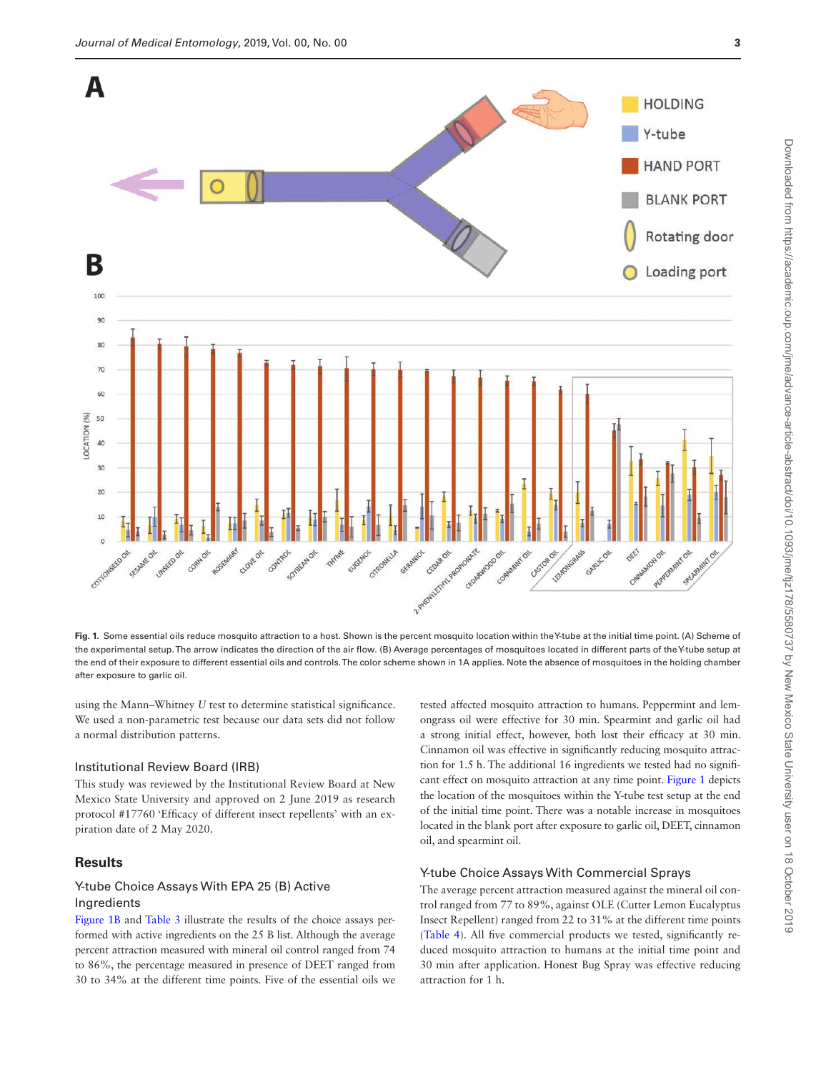

<span id="page-2-0"></span>**Fig. 1.** Some essential oils reduce mosquito attraction to a host. Shown is the percent mosquito location within the Y-tube at the initial time point. (A) Scheme of the experimental setup. The arrow indicates the direction of the air flow. (B) Average percentages of mosquitoes located in different parts of the Y-tube setup at the end of their exposure to different essential oils and controls. The color scheme shown in 1A applies. Note the absence of mosquitoes in the holding chamber after exposure to garlic oil.

using the Mann–Whitney *U* test to determine statistical significance. We used a non-parametric test because our data sets did not follow a normal distribution patterns.

#### Institutional Review Board (IRB)

This study was reviewed by the Institutional Review Board at New Mexico State University and approved on 2 June 2019 as research protocol #17760 'Efficacy of different insect repellents' with an expiration date of 2 May 2020.

## **Results**

## Y-tube Choice Assays With EPA 25 (B) Active Ingredients

[Figure 1B](#page-2-0) and [Table 3](#page-3-1) illustrate the results of the choice assays performed with active ingredients on the 25 B list. Although the average percent attraction measured with mineral oil control ranged from 74 to 86%, the percentage measured in presence of DEET ranged from 30 to 34% at the different time points. Five of the essential oils we

tested affected mosquito attraction to humans. Peppermint and lemongrass oil were effective for 30 min. Spearmint and garlic oil had a strong initial effect, however, both lost their efficacy at 30 min. Cinnamon oil was effective in significantly reducing mosquito attraction for 1.5 h. The additional 16 ingredients we tested had no significant effect on mosquito attraction at any time point. [Figure 1](#page-2-0) depicts the location of the mosquitoes within the Y-tube test setup at the end of the initial time point. There was a notable increase in mosquitoes located in the blank port after exposure to garlic oil, DEET, cinnamon oil, and spearmint oil.

## Y-tube Choice Assays With Commercial Sprays

The average percent attraction measured against the mineral oil control ranged from 77 to 89%, against OLE (Cutter Lemon Eucalyptus Insect Repellent) ranged from 22 to 31% at the different time points [\(Table 4\)](#page-4-0). All five commercial products we tested, significantly reduced mosquito attraction to humans at the initial time point and 30 min after application. Honest Bug Spray was effective reducing attraction for 1 h.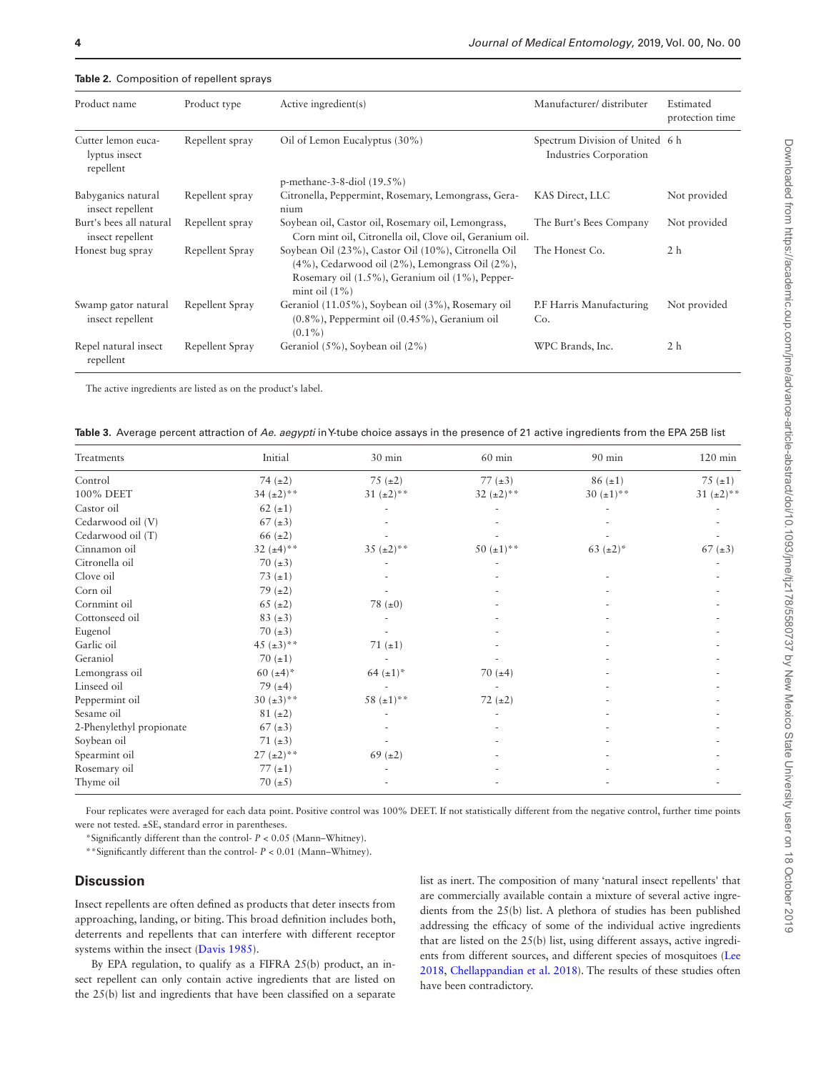| Product name                                     | Product type    | Active ingredient(s)                                                                                                                                                                     | Manufacturer/ distributer                                 | Estimated<br>protection time |
|--------------------------------------------------|-----------------|------------------------------------------------------------------------------------------------------------------------------------------------------------------------------------------|-----------------------------------------------------------|------------------------------|
| Cutter lemon euca-<br>lyptus insect<br>repellent | Repellent spray | Oil of Lemon Eucalyptus (30%)                                                                                                                                                            | Spectrum Division of United 6 h<br>Industries Corporation |                              |
|                                                  |                 | p-methane-3-8-diol $(19.5\%)$                                                                                                                                                            |                                                           |                              |
| Babyganics natural<br>insect repellent           | Repellent spray | Citronella, Peppermint, Rosemary, Lemongrass, Gera-<br>nium                                                                                                                              | KAS Direct, LLC                                           | Not provided                 |
| Burt's bees all natural<br>insect repellent      | Repellent spray | Soybean oil, Castor oil, Rosemary oil, Lemongrass,<br>Corn mint oil, Citronella oil, Clove oil, Geranium oil.                                                                            | The Burt's Bees Company                                   | Not provided                 |
| Honest bug spray                                 | Repellent Spray | Soybean Oil (23%), Castor Oil (10%), Citronella Oil<br>$(4\%)$ , Cedarwood oil $(2\%)$ , Lemongrass Oil $(2\%)$ ,<br>Rosemary oil (1.5%), Geranium oil (1%), Pepper-<br>mint oil $(1\%)$ | The Honest Co.                                            | 2 <sub>h</sub>               |
| Swamp gator natural<br>insect repellent          | Repellent Spray | Geraniol (11.05%), Soybean oil (3%), Rosemary oil<br>$(0.8\%)$ , Peppermint oil $(0.45\%)$ , Geranium oil<br>$(0.1\%)$                                                                   | P.F Harris Manufacturing<br>Co.                           | Not provided                 |
| Repel natural insect<br>repellent                | Repellent Spray | Geraniol (5%), Soybean oil (2%)                                                                                                                                                          | WPC Brands, Inc.                                          | 2 <sub>h</sub>               |

#### <span id="page-3-0"></span>**Table 2.** Composition of repellent sprays

The active ingredients are listed as on the product's label.

<span id="page-3-1"></span>

|  |  |  | Table 3. Average percent attraction of Ae. aegypti in Y-tube choice assays in the presence of 21 active ingredients from the EPA 25B list |  |  |
|--|--|--|-------------------------------------------------------------------------------------------------------------------------------------------|--|--|
|--|--|--|-------------------------------------------------------------------------------------------------------------------------------------------|--|--|

| Treatments               | Initial             | 30 min          | $60$ min        | 90 min          | $120 \text{ min}$ |
|--------------------------|---------------------|-----------------|-----------------|-----------------|-------------------|
| Control                  | 74 $(\pm 2)$        | 75 $(\pm 2)$    | 77 $(\pm 3)$    | $86(\pm 1)$     | 75 $(\pm 1)$      |
| 100% DEET                | 34 $(\pm 2)$ **     | 31 $(\pm 2)$ ** | 32 $(\pm 2)$ ** | 30 $(\pm 1)$ ** | $31 (+2)$ **      |
| Castor oil               | 62 $(\pm 1)$        |                 |                 |                 |                   |
| Cedarwood oil (V)        | $67 (\pm 3)$        |                 |                 |                 |                   |
| Cedarwood oil (T)        | 66 $(\pm 2)$        |                 |                 |                 |                   |
| Cinnamon oil             | 32 ( $\pm 4$ )**    | 35 $(\pm 2)$ ** | 50 $(\pm 1)$ ** | 63 $(\pm 2)^*$  | $67 (\pm 3)$      |
| Citronella oil           | 70 $(\pm 3)$        |                 |                 |                 |                   |
| Clove oil                | 73 $(\pm 1)$        |                 |                 |                 |                   |
| Corn oil                 | 79 $(\pm 2)$        |                 |                 |                 |                   |
| Cornmint oil             | 65 ( $\pm 2$ )      | 78 $(\pm 0)$    |                 |                 |                   |
| Cottonseed oil           | 83 $(\pm 3)$        |                 |                 |                 |                   |
| Eugenol                  | 70 $(\pm 3)$        |                 |                 |                 |                   |
| Garlic oil               | 45 $(\pm 3)^{**}$   | 71 $(\pm 1)$    |                 |                 |                   |
| Geraniol                 | 70 $(\pm 1)$        |                 |                 |                 |                   |
| Lemongrass oil           | 60 $(\pm 4)^*$      | 64 $(\pm 1)^*$  | 70 $(\pm 4)$    |                 |                   |
| Linseed oil              | 79 $(\pm 4)$        |                 |                 |                 |                   |
| Peppermint oil           | $30 \ (\pm 3)^{**}$ | 58 $(\pm 1)$ ** | 72 $(\pm 2)$    |                 |                   |
| Sesame oil               | $81 (\pm 2)$        |                 |                 |                 |                   |
| 2-Phenylethyl propionate | $67 (\pm 3)$        |                 |                 |                 |                   |
| Soybean oil              | 71 $(\pm 3)$        |                 |                 |                 |                   |
| Spearmint oil            | $27 (+2)*$          | $69 (\pm 2)$    |                 |                 |                   |
| Rosemary oil             | $77~(\pm1)$         |                 |                 |                 |                   |
| Thyme oil                | 70 $(\pm 5)$        |                 |                 |                 |                   |

Four replicates were averaged for each data point. Positive control was 100% DEET. If not statistically different from the negative control, further time points were not tested. ±SE, standard error in parentheses.

\*Significantly different than the control- *P* < 0.05 (Mann–Whitney).

\*\*Significantly different than the control- *P* < 0.01 (Mann–Whitney).

#### **Discussion**

Insect repellents are often defined as products that deter insects from approaching, landing, or biting. This broad definition includes both, deterrents and repellents that can interfere with different receptor systems within the insect ([Davis 1985](#page-6-1)).

By EPA regulation, to qualify as a FIFRA 25(b) product, an insect repellent can only contain active ingredients that are listed on the 25(b) list and ingredients that have been classified on a separate

list as inert. The composition of many 'natural insect repellents' that are commercially available contain a mixture of several active ingredients from the 25(b) list. A plethora of studies has been published addressing the efficacy of some of the individual active ingredients that are listed on the 25(b) list, using different assays, active ingredients from different sources, and different species of mosquitoes ([Lee](#page-7-20)  [2018](#page-7-20), [Chellappandian et al. 2018\)](#page-6-2). The results of these studies often have been contradictory.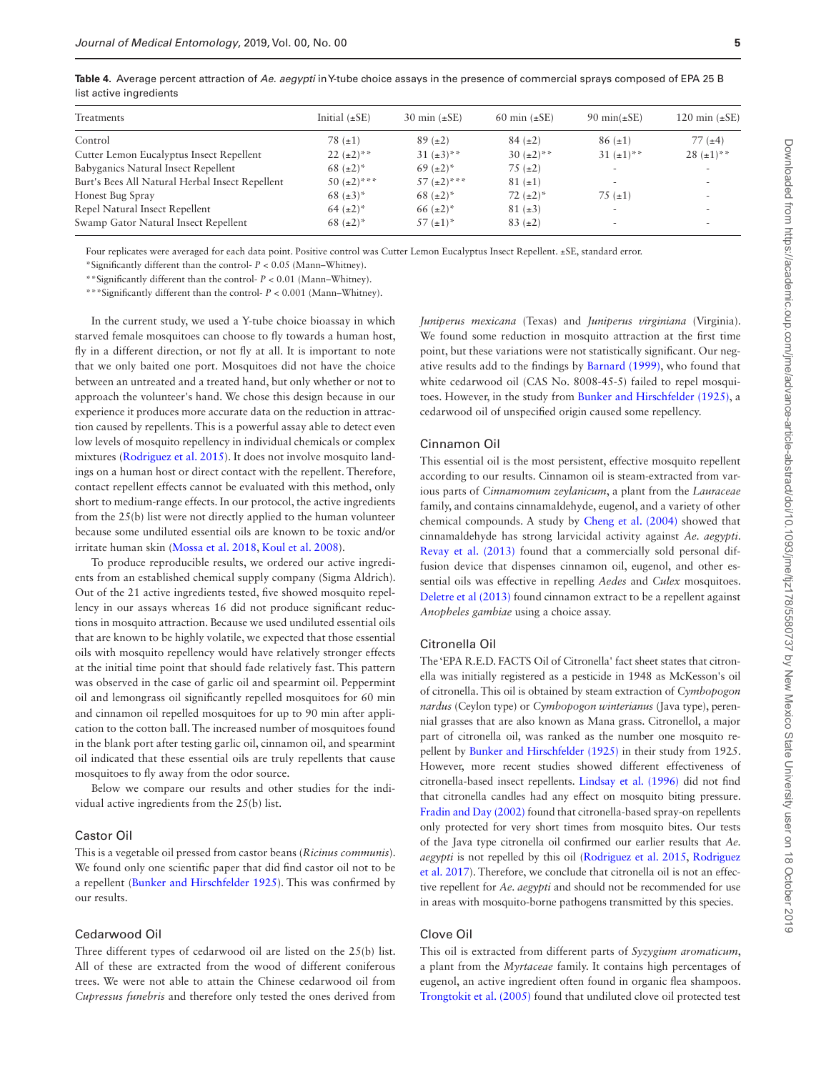| Treatments                                      | Initial $(\pm SE)$ | 30 min $(\pm SE)$ | 60 min $(\pm SE)$   | 90 min $(\pm SE)$ | 120 min $(\pm SE)$       |
|-------------------------------------------------|--------------------|-------------------|---------------------|-------------------|--------------------------|
| Control                                         | 78 $(\pm 1)$       | $89 (+2)$         | $84 (+2)$           | $86 (+1)$         | $77(+4)$                 |
| Cutter Lemon Eucalyptus Insect Repellent        | $22 (+2)^{**}$     | $31 (+3)$ **      | $30 \ (\pm 2)^{**}$ | 31 $(\pm 1)$ **   | $28 (+1)$ **             |
| Babyganics Natural Insect Repellent             | 68 $(\pm 2)^*$     | 69 $(\pm 2)^{*}$  | $75 (+2)$           | $\sim$            | $\sim$                   |
| Burt's Bees All Natural Herbal Insect Repellent | 50 $(\pm 2)$ ***   | 57 $(\pm 2)$ ***  | $81 (+1)$           | $\sim$            | $\sim$                   |
| Honest Bug Spray                                | 68 $(\pm 3)^{*}$   | 68 $(\pm 2)^*$    | 72 $(\pm 2)^*$      | 75 $(\pm 1)$      | ۰                        |
| Repel Natural Insect Repellent                  | 64 $(\pm 2)^{*}$   | 66 $(\pm 2)^{*}$  | $81 (+3)$           | $\sim$            |                          |
| Swamp Gator Natural Insect Repellent            | 68 $(\pm 2)^{*}$   | 57 $(\pm 1)^{*}$  | $83 (+2)$           | $\sim$            | $\overline{\phantom{a}}$ |

<span id="page-4-0"></span>**Table 4.** Average percent attraction of *Ae. aegypti* in Y-tube choice assays in the presence of commercial sprays composed of EPA 25 B list active ingredients

Four replicates were averaged for each data point. Positive control was Cutter Lemon Eucalyptus Insect Repellent. ±SE, standard error.

\*Significantly different than the control- *P* < 0.05 (Mann–Whitney).

\*\*Significantly different than the control- *P* < 0.01 (Mann–Whitney).

\*\*\*Significantly different than the control- *P* < 0.001 (Mann–Whitney).

In the current study, we used a Y-tube choice bioassay in which starved female mosquitoes can choose to fly towards a human host, fly in a different direction, or not fly at all. It is important to note that we only baited one port. Mosquitoes did not have the choice between an untreated and a treated hand, but only whether or not to approach the volunteer's hand. We chose this design because in our experience it produces more accurate data on the reduction in attraction caused by repellents. This is a powerful assay able to detect even low levels of mosquito repellency in individual chemicals or complex mixtures ([Rodriguez et al. 2015\)](#page-7-9). It does not involve mosquito landings on a human host or direct contact with the repellent. Therefore, contact repellent effects cannot be evaluated with this method, only short to medium-range effects. In our protocol, the active ingredients from the 25(b) list were not directly applied to the human volunteer because some undiluted essential oils are known to be toxic and/or irritate human skin ([Mossa et al. 2018](#page-7-21), [Koul et al. 2008](#page-7-22)).

To produce reproducible results, we ordered our active ingredients from an established chemical supply company (Sigma Aldrich). Out of the 21 active ingredients tested, five showed mosquito repellency in our assays whereas 16 did not produce significant reductions in mosquito attraction. Because we used undiluted essential oils that are known to be highly volatile, we expected that those essential oils with mosquito repellency would have relatively stronger effects at the initial time point that should fade relatively fast. This pattern was observed in the case of garlic oil and spearmint oil. Peppermint oil and lemongrass oil significantly repelled mosquitoes for 60 min and cinnamon oil repelled mosquitoes for up to 90 min after application to the cotton ball. The increased number of mosquitoes found in the blank port after testing garlic oil, cinnamon oil, and spearmint oil indicated that these essential oils are truly repellents that cause mosquitoes to fly away from the odor source.

Below we compare our results and other studies for the individual active ingredients from the 25(b) list.

#### Castor Oil

This is a vegetable oil pressed from castor beans (*Ricinus communis*). We found only one scientific paper that did find castor oil not to be a repellent [\(Bunker and Hirschfelder 1925](#page-6-3)). This was confirmed by our results.

#### Cedarwood Oil

Three different types of cedarwood oil are listed on the 25(b) list. All of these are extracted from the wood of different coniferous trees. We were not able to attain the Chinese cedarwood oil from *Cupressus funebris* and therefore only tested the ones derived from

*Juniperus mexicana* (Texas) and *Juniperus virginiana* (Virginia). We found some reduction in mosquito attraction at the first time point, but these variations were not statistically significant. Our negative results add to the findings by [Barnard \(1999\)](#page-6-4), who found that white cedarwood oil (CAS No. 8008-45-5) failed to repel mosquitoes. However, in the study from [Bunker and Hirschfelder \(1925\)](#page-6-3), a cedarwood oil of unspecified origin caused some repellency.

## Cinnamon Oil

This essential oil is the most persistent, effective mosquito repellent according to our results. Cinnamon oil is steam-extracted from various parts of *Cinnamomum zeylanicum*, a plant from the *Lauraceae* family, and contains cinnamaldehyde, eugenol, and a variety of other chemical compounds. A study by [Cheng et al. \(2004\)](#page-6-5) showed that cinnamaldehyde has strong larvicidal activity against *Ae. aegypti*. Revay et al. (2013) found that a commercially sold personal diffusion device that dispenses cinnamon oil, eugenol, and other essential oils was effective in repelling *Aedes* and *Culex* mosquitoes. [Deletre et al \(2013\)](#page-6-6) found cinnamon extract to be a repellent against *Anopheles gambiae* using a choice assay.

#### Citronella Oil

The 'EPA R.E.D. FACTS Oil of Citronella' fact sheet states that citronella was initially registered as a pesticide in 1948 as McKesson's oil of citronella. This oil is obtained by steam extraction of *Cymbopogon nardus* (Ceylon type) or *Cymbopogon winterianus* (Java type), perennial grasses that are also known as Mana grass. Citronellol, a major part of citronella oil, was ranked as the number one mosquito repellent by [Bunker and Hirschfelder \(1925\)](#page-6-3) in their study from 1925. However, more recent studies showed different effectiveness of citronella-based insect repellents. [Lindsay et al. \(1996\)](#page-7-24) did not find that citronella candles had any effect on mosquito biting pressure. [Fradin and Day \(2002\)](#page-7-14) found that citronella-based spray-on repellents only protected for very short times from mosquito bites. Our tests of the Java type citronella oil confirmed our earlier results that *Ae. aegypti* is not repelled by this oil ([Rodriguez et al. 2015,](#page-7-9) [Rodriguez](#page-7-8)  [et al. 2017\)](#page-7-8). Therefore, we conclude that citronella oil is not an effective repellent for *Ae. aegypti* and should not be recommended for use in areas with mosquito-borne pathogens transmitted by this species.

#### Clove Oil

This oil is extracted from different parts of *Syzygium aromaticum*, a plant from the *Myrtaceae* family. It contains high percentages of eugenol, an active ingredient often found in organic flea shampoos. [Trongtokit et al. \(2005\)](#page-7-25) found that undiluted clove oil protected test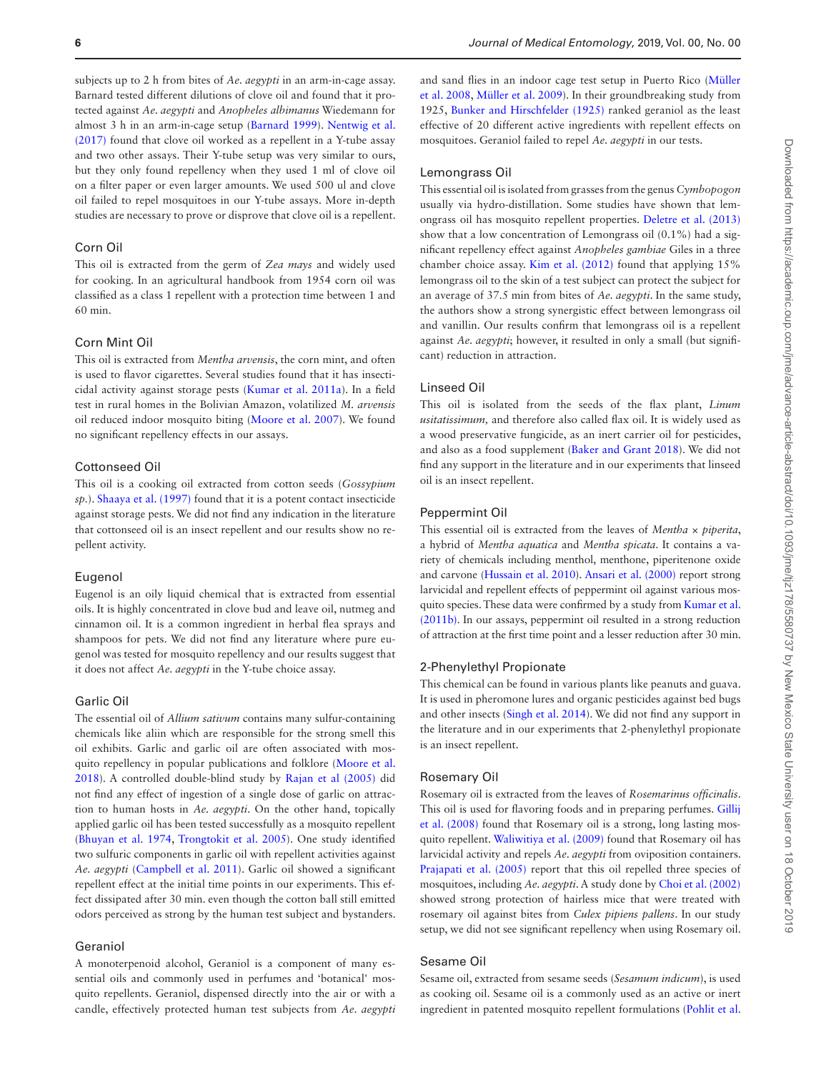subjects up to 2 h from bites of *Ae. aegypti* in an arm-in-cage assay. Barnard tested different dilutions of clove oil and found that it protected against *Ae. aegypti* and *Anopheles albimanus* Wiedemann for almost 3 h in an arm-in-cage setup ([Barnard 1999\)](#page-6-4). [Nentwig et al.](#page-7-26)  [\(2017\)](#page-7-26) found that clove oil worked as a repellent in a Y-tube assay and two other assays. Their Y-tube setup was very similar to ours, but they only found repellency when they used 1 ml of clove oil on a filter paper or even larger amounts. We used 500 ul and clove oil failed to repel mosquitoes in our Y-tube assays. More in-depth studies are necessary to prove or disprove that clove oil is a repellent.

## Corn Oil

This oil is extracted from the germ of *Zea mays* and widely used for cooking. In an agricultural handbook from 1954 corn oil was classified as a class 1 repellent with a protection time between 1 and 60 min.

#### Corn Mint Oil

This oil is extracted from *Mentha arvensis*, the corn mint, and often is used to flavor cigarettes. Several studies found that it has insecticidal activity against storage pests [\(Kumar et al. 2011a](#page-7-27)). In a field test in rural homes in the Bolivian Amazon, volatilized *M. arvensis* oil reduced indoor mosquito biting [\(Moore et al. 2007](#page-7-28)). We found no significant repellency effects in our assays.

#### Cottonseed Oil

This oil is a cooking oil extracted from cotton seeds (*Gossypium sp.*). [Shaaya et al. \(1997\)](#page-7-29) found that it is a potent contact insecticide against storage pests. We did not find any indication in the literature that cottonseed oil is an insect repellent and our results show no repellent activity.

#### Eugenol

Eugenol is an oily liquid chemical that is extracted from essential oils. It is highly concentrated in clove bud and leave oil, nutmeg and cinnamon oil. It is a common ingredient in herbal flea sprays and shampoos for pets. We did not find any literature where pure eugenol was tested for mosquito repellency and our results suggest that it does not affect *Ae. aegypti* in the Y-tube choice assay.

## Garlic Oil

The essential oil of *Allium sativum* contains many sulfur-containing chemicals like aliin which are responsible for the strong smell this oil exhibits. Garlic and garlic oil are often associated with mosquito repellency in popular publications and folklore [\(Moore et al.](#page-7-7)  [2018](#page-7-7)). A controlled double-blind study by [Rajan et al \(2005\)](#page-7-30) did not find any effect of ingestion of a single dose of garlic on attraction to human hosts in *Ae. aegypti*. On the other hand, topically applied garlic oil has been tested successfully as a mosquito repellent [\(Bhuyan et al. 1974](#page-6-7), [Trongtokit et al. 2005](#page-7-25)). One study identified two sulfuric components in garlic oil with repellent activities against *Ae. aegypti* [\(Campbell et al. 2011\)](#page-6-8). Garlic oil showed a significant repellent effect at the initial time points in our experiments. This effect dissipated after 30 min. even though the cotton ball still emitted odors perceived as strong by the human test subject and bystanders.

#### Geraniol

A monoterpenoid alcohol, Geraniol is a component of many essential oils and commonly used in perfumes and 'botanical' mosquito repellents. Geraniol, dispensed directly into the air or with a candle, effectively protected human test subjects from *Ae. aegypti* and sand flies in an indoor cage test setup in Puerto Rico [\(Müller](#page-7-31)  [et al. 2008](#page-7-31), [Müller et al. 2009\)](#page-7-32). In their groundbreaking study from 1925, [Bunker and Hirschfelder \(1925\)](#page-6-3) ranked geraniol as the least effective of 20 different active ingredients with repellent effects on mosquitoes. Geraniol failed to repel *Ae. aegypti* in our tests.

## Lemongrass Oil

This essential oil is isolated from grasses from the genus *Cymbopogon* usually via hydro-distillation. Some studies have shown that lemongrass oil has mosquito repellent properties. [Deletre et al. \(2013\)](#page-6-6) show that a low concentration of Lemongrass oil (0.1%) had a significant repellency effect against *Anopheles gambiae* Giles in a three chamber choice assay. [Kim et al. \(2012\)](#page-7-33) found that applying 15% lemongrass oil to the skin of a test subject can protect the subject for an average of 37.5 min from bites of *Ae. aegypti*. In the same study, the authors show a strong synergistic effect between lemongrass oil and vanillin. Our results confirm that lemongrass oil is a repellent against *Ae. aegypti*; however, it resulted in only a small (but significant) reduction in attraction.

## Linseed Oil

This oil is isolated from the seeds of the flax plant, *Linum usitatissimum,* and therefore also called flax oil. It is widely used as a wood preservative fungicide, as an inert carrier oil for pesticides, and also as a food supplement [\(Baker and Grant 2018](#page-6-9)). We did not find any support in the literature and in our experiments that linseed oil is an insect repellent.

#### Peppermint Oil

This essential oil is extracted from the leaves of *Mentha × piperita*, a hybrid of *Mentha aquatica* and *Mentha spicata*. It contains a variety of chemicals including menthol, menthone, piperitenone oxide and carvone ([Hussain et al. 2010](#page-7-34)). [Ansari et al. \(2000\)](#page-6-10) report strong larvicidal and repellent effects of peppermint oil against various mosquito species. These data were confirmed by a study from [Kumar et al.](#page-7-35)  [\(2011b\).](#page-7-35) In our assays, peppermint oil resulted in a strong reduction of attraction at the first time point and a lesser reduction after 30 min.

#### 2-Phenylethyl Propionate

This chemical can be found in various plants like peanuts and guava. It is used in pheromone lures and organic pesticides against bed bugs and other insects ([Singh et al. 2014\)](#page-7-36). We did not find any support in the literature and in our experiments that 2-phenylethyl propionate is an insect repellent.

#### Rosemary Oil

Rosemary oil is extracted from the leaves of *Rosemarinus officinalis*. This oil is used for flavoring foods and in preparing perfumes. [Gillij](#page-7-37)  [et al. \(2008\)](#page-7-37) found that Rosemary oil is a strong, long lasting mosquito repellent. [Waliwitiya et al. \(2009\)](#page-7-38) found that Rosemary oil has larvicidal activity and repels *Ae. aegypti* from oviposition containers. [Prajapati et al. \(2005\)](#page-7-39) report that this oil repelled three species of mosquitoes, including *Ae. aegypti*. A study done by [Choi et al. \(2002\)](#page-6-11) showed strong protection of hairless mice that were treated with rosemary oil against bites from *Culex pipiens pallens*. In our study setup, we did not see significant repellency when using Rosemary oil.

## Sesame Oil

Sesame oil, extracted from sesame seeds (*Sesamum indicum*), is used as cooking oil. Sesame oil is a commonly used as an active or inert ingredient in patented mosquito repellent formulations [\(Pohlit et al.](#page-7-40)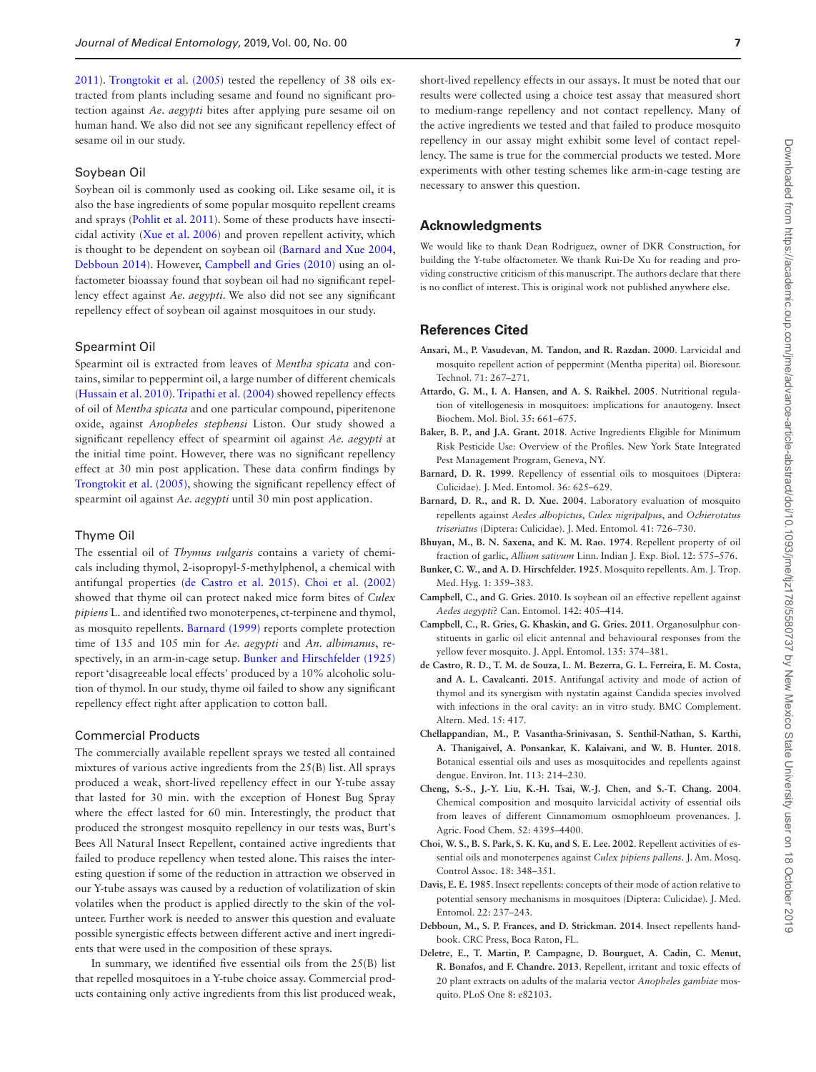[2011](#page-7-40)). [Trongtokit et al. \(2005\)](#page-7-25) tested the repellency of 38 oils extracted from plants including sesame and found no significant protection against *Ae. aegypti* bites after applying pure sesame oil on human hand. We also did not see any significant repellency effect of sesame oil in our study.

#### Soybean Oil

Soybean oil is commonly used as cooking oil. Like sesame oil, it is also the base ingredients of some popular mosquito repellent creams and sprays ([Pohlit et al. 2011](#page-7-40)). Some of these products have insecticidal activity [\(Xue et al. 2006\)](#page-7-41) and proven repellent activity, which is thought to be dependent on soybean oil [\(Barnard and Xue 2004,](#page-6-12) [Debboun 2014](#page-6-13)). However, [Campbell and Gries \(2010\)](#page-6-14) using an olfactometer bioassay found that soybean oil had no significant repellency effect against *Ae. aegypti*. We also did not see any significant repellency effect of soybean oil against mosquitoes in our study.

#### Spearmint Oil

Spearmint oil is extracted from leaves of *Mentha spicata* and contains, similar to peppermint oil, a large number of different chemicals [\(Hussain et al. 2010](#page-7-34)). [Tripathi et al. \(2004\)](#page-7-42) showed repellency effects of oil of *Mentha spicata* and one particular compound, piperitenone oxide, against *Anopheles stephensi* Liston. Our study showed a significant repellency effect of spearmint oil against *Ae. aegypti* at the initial time point. However, there was no significant repellency effect at 30 min post application. These data confirm findings by [Trongtokit et al. \(2005\),](#page-7-25) showing the significant repellency effect of spearmint oil against *Ae. aegypti* until 30 min post application.

#### Thyme Oil

The essential oil of *Thymus vulgaris* contains a variety of chemicals including thymol, 2-isopropyl-5-methylphenol, a chemical with antifungal properties ([de Castro et al. 2015\)](#page-6-15). [Choi et al. \(2002\)](#page-6-11) showed that thyme oil can protect naked mice form bites of *Culex pipiens* L. and identified two monoterpenes, ct-terpinene and thymol, as mosquito repellents. [Barnard \(1999\)](#page-6-4) reports complete protection time of 135 and 105 min for *Ae. aegypti* and *An. albimanus*, respectively, in an arm-in-cage setup. [Bunker and Hirschfelder \(1925\)](#page-6-3) report 'disagreeable local effects' produced by a 10% alcoholic solution of thymol. In our study, thyme oil failed to show any significant repellency effect right after application to cotton ball.

#### Commercial Products

The commercially available repellent sprays we tested all contained mixtures of various active ingredients from the 25(B) list. All sprays produced a weak, short-lived repellency effect in our Y-tube assay that lasted for 30 min. with the exception of Honest Bug Spray where the effect lasted for 60 min. Interestingly, the product that produced the strongest mosquito repellency in our tests was, Burt's Bees All Natural Insect Repellent, contained active ingredients that failed to produce repellency when tested alone. This raises the interesting question if some of the reduction in attraction we observed in our Y-tube assays was caused by a reduction of volatilization of skin volatiles when the product is applied directly to the skin of the volunteer. Further work is needed to answer this question and evaluate possible synergistic effects between different active and inert ingredients that were used in the composition of these sprays.

In summary, we identified five essential oils from the 25(B) list that repelled mosquitoes in a Y-tube choice assay. Commercial products containing only active ingredients from this list produced weak, short-lived repellency effects in our assays. It must be noted that our results were collected using a choice test assay that measured short to medium-range repellency and not contact repellency. Many of the active ingredients we tested and that failed to produce mosquito repellency in our assay might exhibit some level of contact repellency. The same is true for the commercial products we tested. More experiments with other testing schemes like arm-in-cage testing are necessary to answer this question.

#### **Acknowledgments**

We would like to thank Dean Rodriguez, owner of DKR Construction, for building the Y-tube olfactometer. We thank Rui-De Xu for reading and providing constructive criticism of this manuscript. The authors declare that there is no conflict of interest. This is original work not published anywhere else.

## **References Cited**

- <span id="page-6-10"></span>**Ansari, M., P. Vasudevan, M. Tandon, and R. Razdan. 2000**. Larvicidal and mosquito repellent action of peppermint (Mentha piperita) oil. Bioresour. Technol. 71: 267–271.
- <span id="page-6-0"></span>**Attardo, G. M., I. A. Hansen, and A. S. Raikhel. 2005**. Nutritional regulation of vitellogenesis in mosquitoes: implications for anautogeny. Insect Biochem. Mol. Biol. 35: 661–675.
- <span id="page-6-9"></span>**Baker, B. P., and J.A. Grant. 2018**. Active Ingredients Eligible for Minimum Risk Pesticide Use: Overview of the Profiles. New York State Integrated Pest Management Program, Geneva, NY.
- <span id="page-6-4"></span>**Barnard, D. R. 1999**. Repellency of essential oils to mosquitoes (Diptera: Culicidae). J. Med. Entomol. 36: 625–629.
- <span id="page-6-12"></span>**Barnard, D. R., and R. D. Xue. 2004**. Laboratory evaluation of mosquito repellents against *Aedes albopictus*, *Culex nigripalpus*, and *Ochierotatus triseriatus* (Diptera: Culicidae). J. Med. Entomol. 41: 726–730.
- <span id="page-6-7"></span>**Bhuyan, M., B. N. Saxena, and K. M. Rao. 1974**. Repellent property of oil fraction of garlic, *Allium sativum* Linn. Indian J. Exp. Biol. 12: 575–576.
- <span id="page-6-3"></span>**Bunker, C. W., and A. D. Hirschfelder. 1925**. Mosquito repellents. Am. J. Trop. Med. Hyg. 1: 359–383.
- <span id="page-6-14"></span>**Campbell, C., and G. Gries. 2010**. Is soybean oil an effective repellent against *Aedes aegypti*? Can. Entomol. 142: 405–414.
- <span id="page-6-8"></span>**Campbell, C., R. Gries, G. Khaskin, and G. Gries. 2011**. Organosulphur constituents in garlic oil elicit antennal and behavioural responses from the yellow fever mosquito. J. Appl. Entomol. 135: 374–381.
- <span id="page-6-15"></span>**de Castro, R. D., T. M. de Souza, L. M. Bezerra, G. L. Ferreira, E. M. Costa, and A. L. Cavalcanti. 2015**. Antifungal activity and mode of action of thymol and its synergism with nystatin against Candida species involved with infections in the oral cavity: an in vitro study. BMC Complement. Altern. Med. 15: 417.
- <span id="page-6-2"></span>**Chellappandian, M., P. Vasantha-Srinivasan, S. Senthil-Nathan, S. Karthi, A. Thanigaivel, A. Ponsankar, K. Kalaivani, and W. B. Hunter. 2018**. Botanical essential oils and uses as mosquitocides and repellents against dengue. Environ. Int. 113: 214–230.
- <span id="page-6-5"></span>**Cheng, S.-S., J.-Y. Liu, K.-H. Tsai, W.-J. Chen, and S.-T. Chang. 2004**. Chemical composition and mosquito larvicidal activity of essential oils from leaves of different Cinnamomum osmophloeum provenances. J. Agric. Food Chem. 52: 4395–4400.
- <span id="page-6-11"></span>**Choi, W. S., B. S. Park, S. K. Ku, and S. E. Lee. 2002**. Repellent activities of essential oils and monoterpenes against *Culex pipiens pallens*. J. Am. Mosq. Control Assoc. 18: 348–351.
- <span id="page-6-1"></span>**Davis, E. E. 1985**. Insect repellents: concepts of their mode of action relative to potential sensory mechanisms in mosquitoes (Diptera: Culicidae). J. Med. Entomol. 22: 237–243.
- <span id="page-6-13"></span>**Debboun, M., S. P. Frances, and D. Strickman. 2014**. Insect repellents handbook. CRC Press, Boca Raton, FL.
- <span id="page-6-6"></span>**Deletre, E., T. Martin, P. Campagne, D. Bourguet, A. Cadin, C. Menut, R. Bonafos, and F. Chandre. 2013**. Repellent, irritant and toxic effects of 20 plant extracts on adults of the malaria vector *Anopheles gambiae* mosquito. PLoS One 8: e82103.